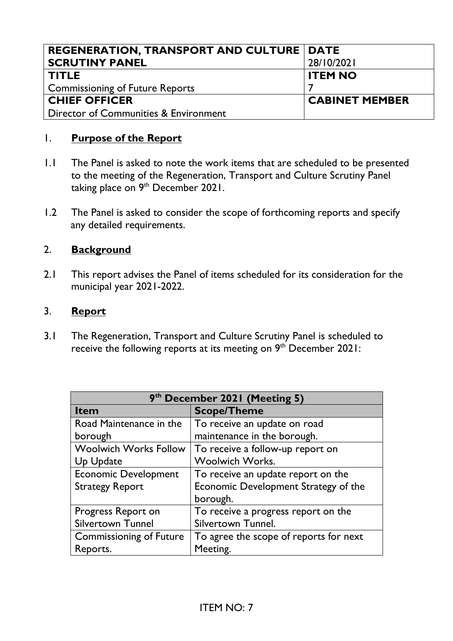| <b>REGENERATION, TRANSPORT AND CULTURE   DATE</b> |                       |
|---------------------------------------------------|-----------------------|
| <b>SCRUTINY PANEL</b>                             | 28/10/2021            |
| <b>TITLE</b>                                      | <b>ITEM NO</b>        |
| <b>Commissioning of Future Reports</b>            |                       |
| <b>CHIEF OFFICER</b>                              | <b>CABINET MEMBER</b> |
| Director of Communities & Environment             |                       |

## 1. **Purpose of the Report**

- 1.1 The Panel is asked to note the work items that are scheduled to be presented to the meeting of the Regeneration, Transport and Culture Scrutiny Panel taking place on 9<sup>th</sup> December 2021.
- 1.2 The Panel is asked to consider the scope of forthcoming reports and specify any detailed requirements.

## 2. **Background**

2.1 This report advises the Panel of items scheduled for its consideration for the municipal year 2021-2022.

## 3. **Report**

3.1 The Regeneration, Transport and Culture Scrutiny Panel is scheduled to receive the following reports at its meeting on  $9<sup>th</sup>$  December 2021:

| 9 <sup>th</sup> December 2021 (Meeting 5) |                                        |  |
|-------------------------------------------|----------------------------------------|--|
| <b>Item</b>                               | <b>Scope/Theme</b>                     |  |
| Road Maintenance in the                   | To receive an update on road           |  |
| borough                                   | maintenance in the borough.            |  |
| <b>Woolwich Works Follow</b>              | To receive a follow-up report on       |  |
| Up Update                                 | <b>Woolwich Works.</b>                 |  |
| <b>Economic Development</b>               | To receive an update report on the     |  |
| <b>Strategy Report</b>                    | Economic Development Strategy of the   |  |
|                                           | borough.                               |  |
| Progress Report on                        | To receive a progress report on the    |  |
| <b>Silvertown Tunnel</b>                  | Silvertown Tunnel.                     |  |
| <b>Commissioning of Future</b>            | To agree the scope of reports for next |  |
| Reports.                                  | Meeting.                               |  |